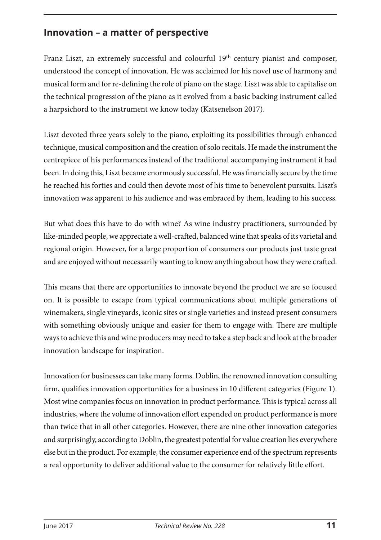## **Innovation – a matter of perspective**

Franz Liszt, an extremely successful and colourful 19<sup>th</sup> century pianist and composer, understood the concept of innovation. He was acclaimed for his novel use of harmony and musical form and for re-defining the role of piano on the stage. Liszt was able to capitalise on the technical progression of the piano as it evolved from a basic backing instrument called a harpsichord to the instrument we know today (Katsenelson 2017).

Liszt devoted three years solely to the piano, exploiting its possibilities through enhanced technique, musical composition and the creation of solo recitals. He made the instrument the centrepiece of his performances instead of the traditional accompanying instrument it had been. In doing this, Liszt became enormously successful. He was financially secure by the time he reached his forties and could then devote most of his time to benevolent pursuits. Liszt's innovation was apparent to his audience and was embraced by them, leading to his success.

But what does this have to do with wine? As wine industry practitioners, surrounded by like-minded people, we appreciate a well-crafted, balanced wine that speaks of its varietal and regional origin. However, for a large proportion of consumers our products just taste great and are enjoyed without necessarily wanting to know anything about how they were crafted.

This means that there are opportunities to innovate beyond the product we are so focused on. It is possible to escape from typical communications about multiple generations of winemakers, single vineyards, iconic sites or single varieties and instead present consumers with something obviously unique and easier for them to engage with. There are multiple ways to achieve this and wine producers may need to take a step back and look at the broader innovation landscape for inspiration.

Innovation for businesses can take many forms. Doblin, the renowned innovation consulting firm, qualifies innovation opportunities for a business in 10 different categories (Figure 1). Most wine companies focus on innovation in product performance. This is typical across all industries, where the volume of innovation effort expended on product performance is more than twice that in all other categories. However, there are nine other innovation categories and surprisingly, according to Doblin, the greatest potential for value creation lies everywhere else but in the product. For example, the consumer experience end of the spectrum represents a real opportunity to deliver additional value to the consumer for relatively little effort.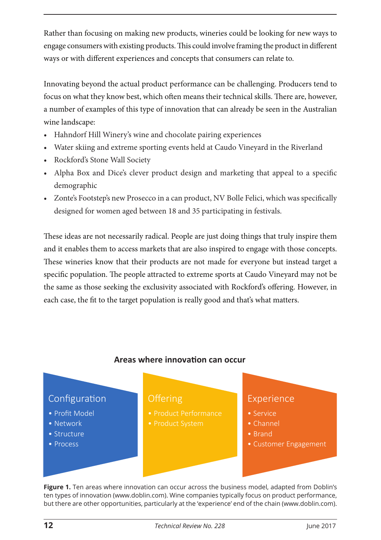Rather than focusing on making new products, wineries could be looking for new ways to engage consumers with existing products. This could involve framing the product in different ways or with different experiences and concepts that consumers can relate to.

Innovating beyond the actual product performance can be challenging. Producers tend to focus on what they know best, which often means their technical skills. There are, however, a number of examples of this type of innovation that can already be seen in the Australian wine landscape:

- Hahndorf Hill Winery's wine and chocolate pairing experiences
- Water skiing and extreme sporting events held at Caudo Vineyard in the Riverland
- Rockford's Stone Wall Society
- Alpha Box and Dice's clever product design and marketing that appeal to a specific demographic
- Zonte's Footstep's new Prosecco in a can product, NV Bolle Felici, which was specifically designed for women aged between 18 and 35 participating in festivals.

These ideas are not necessarily radical. People are just doing things that truly inspire them and it enables them to access markets that are also inspired to engage with those concepts. These wineries know that their products are not made for everyone but instead target a specific population. The people attracted to extreme sports at Caudo Vineyard may not be the same as those seeking the exclusivity associated with Rockford's offering. However, in each case, the fit to the target population is really good and that's what matters.

## **Areas where innova�on can occur**



**Figure 1.** Ten areas where innovation can occur across the business model, adapted from Doblin's ten types of innovation (www.doblin.com). Wine companies typically focus on product performance, but there are other opportunities, particularly at the 'experience' end of the chain ([www.doblin.com](http://www.doblin.com)).